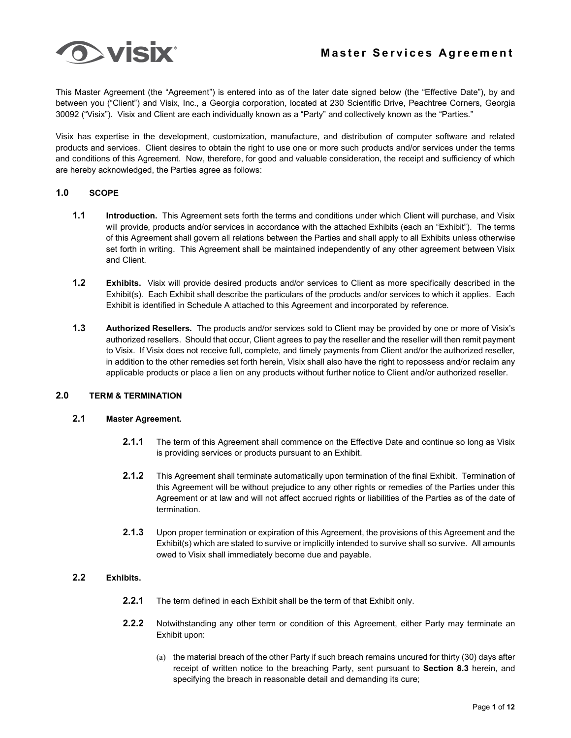

This Master Agreement (the "Agreement") is entered into as of the later date signed below (the "Effective Date"), by and between you ("Client") and Visix, Inc., a Georgia corporation, located at 230 Scientific Drive, Peachtree Corners, Georgia 30092 ("Visix"). Visix and Client are each individually known as a "Party" and collectively known as the "Parties."

Visix has expertise in the development, customization, manufacture, and distribution of computer software and related products and services. Client desires to obtain the right to use one or more such products and/or services under the terms and conditions of this Agreement. Now, therefore, for good and valuable consideration, the receipt and sufficiency of which are hereby acknowledged, the Parties agree as follows:

# **1.0 SCOPE**

- **1.1 Introduction.** This Agreement sets forth the terms and conditions under which Client will purchase, and Visix will provide, products and/or services in accordance with the attached Exhibits (each an "Exhibit"). The terms of this Agreement shall govern all relations between the Parties and shall apply to all Exhibits unless otherwise set forth in writing. This Agreement shall be maintained independently of any other agreement between Visix and Client.
- **1.2 Exhibits.** Visix will provide desired products and/or services to Client as more specifically described in the Exhibit(s). Each Exhibit shall describe the particulars of the products and/or services to which it applies. Each Exhibit is identified in Schedule A attached to this Agreement and incorporated by reference.
- **1.3 Authorized Resellers.** The products and/or services sold to Client may be provided by one or more of Visix's authorized resellers. Should that occur, Client agrees to pay the reseller and the reseller will then remit payment to Visix. If Visix does not receive full, complete, and timely payments from Client and/or the authorized reseller, in addition to the other remedies set forth herein, Visix shall also have the right to repossess and/or reclaim any applicable products or place a lien on any products without further notice to Client and/or authorized reseller.

#### **2.0 TERM & TERMINATION**

# **2.1 Master Agreement.**

- **2.1.1** The term of this Agreement shall commence on the Effective Date and continue so long as Visix is providing services or products pursuant to an Exhibit.
- **2.1.2** This Agreement shall terminate automatically upon termination of the final Exhibit. Termination of this Agreement will be without prejudice to any other rights or remedies of the Parties under this Agreement or at law and will not affect accrued rights or liabilities of the Parties as of the date of termination.
- **2.1.3** Upon proper termination or expiration of this Agreement, the provisions of this Agreement and the Exhibit(s) which are stated to survive or implicitly intended to survive shall so survive. All amounts owed to Visix shall immediately become due and payable.

# **2.2 Exhibits.**

- **2.2.1** The term defined in each Exhibit shall be the term of that Exhibit only.
- **2.2.2** Notwithstanding any other term or condition of this Agreement, either Party may terminate an Exhibit upon:
	- (a) the material breach of the other Party if such breach remains uncured for thirty (30) days after receipt of written notice to the breaching Party, sent pursuant to **Section 8.3** herein, and specifying the breach in reasonable detail and demanding its cure;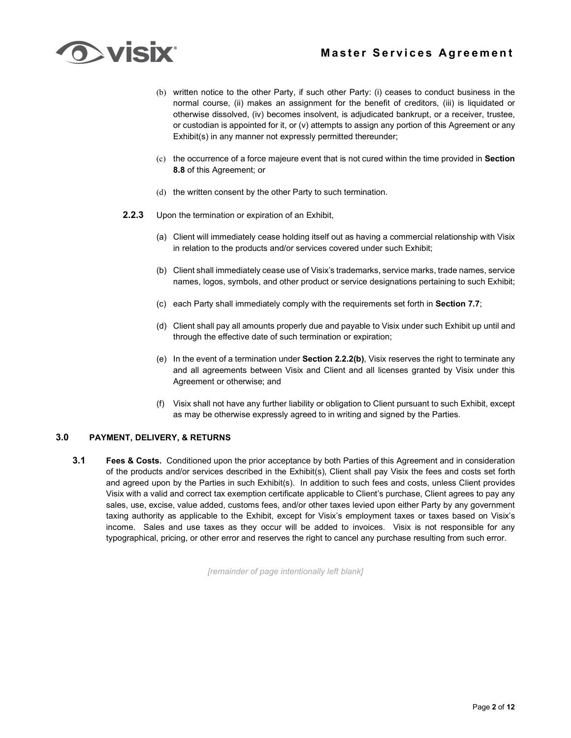# **Master Services Agreement**



- (b) written notice to the other Party, if such other Party: (i) ceases to conduct business in the normal course, (ii) makes an assignment for the benefit of creditors, (iii) is liquidated or otherwise dissolved, (iv) becomes insolvent, is adjudicated bankrupt, or a receiver, trustee, or custodian is appointed for it, or (v) attempts to assign any portion of this Agreement or any Exhibit(s) in any manner not expressly permitted thereunder;
- (c) the occurrence of a force majeure event that is not cured within the time provided in **Section 8.8** of this Agreement; or
- (d) the written consent by the other Party to such termination.
- **2.2.3** Upon the termination or expiration of an Exhibit,
	- (a) Client will immediately cease holding itself out as having a commercial relationship with Visix in relation to the products and/or services covered under such Exhibit;
	- (b) Client shall immediately cease use of Visix's trademarks, service marks, trade names, service names, logos, symbols, and other product or service designations pertaining to such Exhibit;
	- (c) each Party shall immediately comply with the requirements set forth in **Section 7.7**;
	- (d) Client shall pay all amounts properly due and payable to Visix under such Exhibit up until and through the effective date of such termination or expiration;
	- (e) In the event of a termination under **Section 2.2.2(b)**, Visix reserves the right to terminate any and all agreements between Visix and Client and all licenses granted by Visix under this Agreement or otherwise; and
	- (f) Visix shall not have any further liability or obligation to Client pursuant to such Exhibit, except as may be otherwise expressly agreed to in writing and signed by the Parties.

### **3.0 PAYMENT, DELIVERY, & RETURNS**

**3.1 Fees & Costs.** Conditioned upon the prior acceptance by both Parties of this Agreement and in consideration of the products and/or services described in the Exhibit(s), Client shall pay Visix the fees and costs set forth and agreed upon by the Parties in such Exhibit(s). In addition to such fees and costs, unless Client provides Visix with a valid and correct tax exemption certificate applicable to Client's purchase, Client agrees to pay any sales, use, excise, value added, customs fees, and/or other taxes levied upon either Party by any government taxing authority as applicable to the Exhibit, except for Visix's employment taxes or taxes based on Visix's income. Sales and use taxes as they occur will be added to invoices. Visix is not responsible for any typographical, pricing, or other error and reserves the right to cancel any purchase resulting from such error.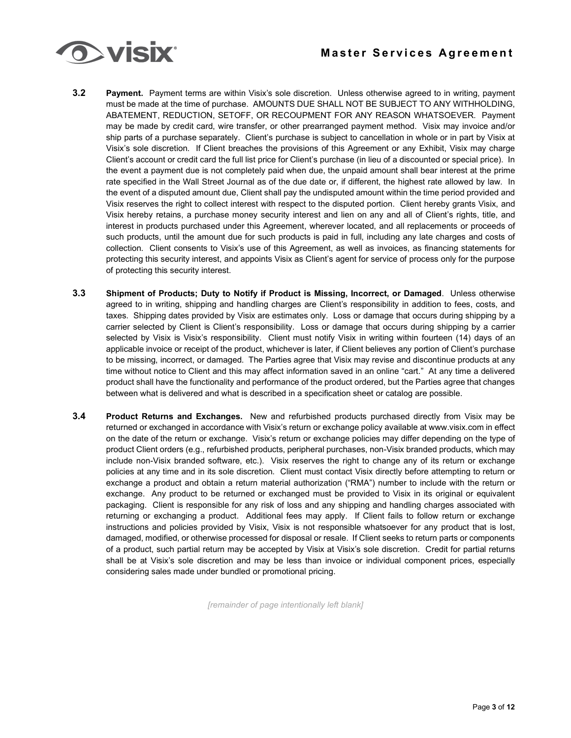

- **3.2 Payment.** Payment terms are within Visix's sole discretion. Unless otherwise agreed to in writing, payment must be made at the time of purchase. AMOUNTS DUE SHALL NOT BE SUBJECT TO ANY WITHHOLDING, ABATEMENT, REDUCTION, SETOFF, OR RECOUPMENT FOR ANY REASON WHATSOEVER. Payment may be made by credit card, wire transfer, or other prearranged payment method. Visix may invoice and/or ship parts of a purchase separately. Client's purchase is subject to cancellation in whole or in part by Visix at Visix's sole discretion. If Client breaches the provisions of this Agreement or any Exhibit, Visix may charge Client's account or credit card the full list price for Client's purchase (in lieu of a discounted or special price). In the event a payment due is not completely paid when due, the unpaid amount shall bear interest at the prime rate specified in the Wall Street Journal as of the due date or, if different, the highest rate allowed by law. In the event of a disputed amount due, Client shall pay the undisputed amount within the time period provided and Visix reserves the right to collect interest with respect to the disputed portion. Client hereby grants Visix, and Visix hereby retains, a purchase money security interest and lien on any and all of Client's rights, title, and interest in products purchased under this Agreement, wherever located, and all replacements or proceeds of such products, until the amount due for such products is paid in full, including any late charges and costs of collection. Client consents to Visix's use of this Agreement, as well as invoices, as financing statements for protecting this security interest, and appoints Visix as Client's agent for service of process only for the purpose of protecting this security interest.
- **3.3 Shipment of Products; Duty to Notify if Product is Missing, Incorrect, or Damaged**. Unless otherwise agreed to in writing, shipping and handling charges are Client's responsibility in addition to fees, costs, and taxes. Shipping dates provided by Visix are estimates only. Loss or damage that occurs during shipping by a carrier selected by Client is Client's responsibility. Loss or damage that occurs during shipping by a carrier selected by Visix is Visix's responsibility. Client must notify Visix in writing within fourteen (14) days of an applicable invoice or receipt of the product, whichever is later, if Client believes any portion of Client's purchase to be missing, incorrect, or damaged. The Parties agree that Visix may revise and discontinue products at any time without notice to Client and this may affect information saved in an online "cart." At any time a delivered product shall have the functionality and performance of the product ordered, but the Parties agree that changes between what is delivered and what is described in a specification sheet or catalog are possible.
- **3.4 Product Returns and Exchanges.** New and refurbished products purchased directly from Visix may be returned or exchanged in accordance with Visix's return or exchange policy available at www.visix.com in effect on the date of the return or exchange. Visix's return or exchange policies may differ depending on the type of product Client orders (e.g., refurbished products, peripheral purchases, non-Visix branded products, which may include non-Visix branded software, etc.). Visix reserves the right to change any of its return or exchange policies at any time and in its sole discretion. Client must contact Visix directly before attempting to return or exchange a product and obtain a return material authorization ("RMA") number to include with the return or exchange. Any product to be returned or exchanged must be provided to Visix in its original or equivalent packaging. Client is responsible for any risk of loss and any shipping and handling charges associated with returning or exchanging a product. Additional fees may apply. If Client fails to follow return or exchange instructions and policies provided by Visix, Visix is not responsible whatsoever for any product that is lost, damaged, modified, or otherwise processed for disposal or resale. If Client seeks to return parts or components of a product, such partial return may be accepted by Visix at Visix's sole discretion. Credit for partial returns shall be at Visix's sole discretion and may be less than invoice or individual component prices, especially considering sales made under bundled or promotional pricing.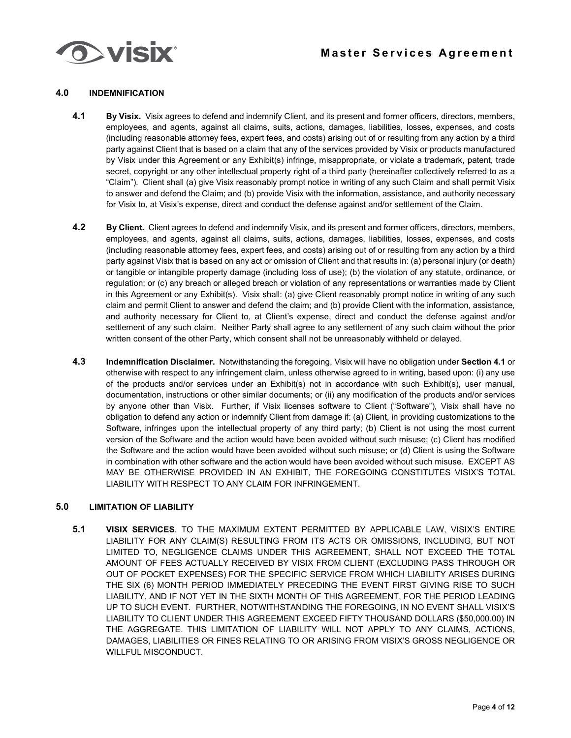

# **4.0 INDEMNIFICATION**

- **4.1 By Visix.** Visix agrees to defend and indemnify Client, and its present and former officers, directors, members, employees, and agents, against all claims, suits, actions, damages, liabilities, losses, expenses, and costs (including reasonable attorney fees, expert fees, and costs) arising out of or resulting from any action by a third party against Client that is based on a claim that any of the services provided by Visix or products manufactured by Visix under this Agreement or any Exhibit(s) infringe, misappropriate, or violate a trademark, patent, trade secret, copyright or any other intellectual property right of a third party (hereinafter collectively referred to as a "Claim"). Client shall (a) give Visix reasonably prompt notice in writing of any such Claim and shall permit Visix to answer and defend the Claim; and (b) provide Visix with the information, assistance, and authority necessary for Visix to, at Visix's expense, direct and conduct the defense against and/or settlement of the Claim.
- **4.2 By Client.** Client agrees to defend and indemnify Visix, and its present and former officers, directors, members, employees, and agents, against all claims, suits, actions, damages, liabilities, losses, expenses, and costs (including reasonable attorney fees, expert fees, and costs) arising out of or resulting from any action by a third party against Visix that is based on any act or omission of Client and that results in: (a) personal injury (or death) or tangible or intangible property damage (including loss of use); (b) the violation of any statute, ordinance, or regulation; or (c) any breach or alleged breach or violation of any representations or warranties made by Client in this Agreement or any Exhibit(s). Visix shall: (a) give Client reasonably prompt notice in writing of any such claim and permit Client to answer and defend the claim; and (b) provide Client with the information, assistance, and authority necessary for Client to, at Client's expense, direct and conduct the defense against and/or settlement of any such claim. Neither Party shall agree to any settlement of any such claim without the prior written consent of the other Party, which consent shall not be unreasonably withheld or delayed.
- **4.3 Indemnification Disclaimer.** Notwithstanding the foregoing, Visix will have no obligation under **Section 4.1** or otherwise with respect to any infringement claim, unless otherwise agreed to in writing, based upon: (i) any use of the products and/or services under an Exhibit(s) not in accordance with such Exhibit(s), user manual, documentation, instructions or other similar documents; or (ii) any modification of the products and/or services by anyone other than Visix. Further, if Visix licenses software to Client ("Software"), Visix shall have no obligation to defend any action or indemnify Client from damage if: (a) Client, in providing customizations to the Software, infringes upon the intellectual property of any third party; (b) Client is not using the most current version of the Software and the action would have been avoided without such misuse; (c) Client has modified the Software and the action would have been avoided without such misuse; or (d) Client is using the Software in combination with other software and the action would have been avoided without such misuse. EXCEPT AS MAY BE OTHERWISE PROVIDED IN AN EXHIBIT, THE FOREGOING CONSTITUTES VISIX'S TOTAL LIABILITY WITH RESPECT TO ANY CLAIM FOR INFRINGEMENT.

# **5.0 LIMITATION OF LIABILITY**

**5.1 VISIX SERVICES**. TO THE MAXIMUM EXTENT PERMITTED BY APPLICABLE LAW, VISIX'S ENTIRE LIABILITY FOR ANY CLAIM(S) RESULTING FROM ITS ACTS OR OMISSIONS, INCLUDING, BUT NOT LIMITED TO, NEGLIGENCE CLAIMS UNDER THIS AGREEMENT, SHALL NOT EXCEED THE TOTAL AMOUNT OF FEES ACTUALLY RECEIVED BY VISIX FROM CLIENT (EXCLUDING PASS THROUGH OR OUT OF POCKET EXPENSES) FOR THE SPECIFIC SERVICE FROM WHICH LIABILITY ARISES DURING THE SIX (6) MONTH PERIOD IMMEDIATELY PRECEDING THE EVENT FIRST GIVING RISE TO SUCH LIABILITY, AND IF NOT YET IN THE SIXTH MONTH OF THIS AGREEMENT, FOR THE PERIOD LEADING UP TO SUCH EVENT. FURTHER, NOTWITHSTANDING THE FOREGOING, IN NO EVENT SHALL VISIX'S LIABILITY TO CLIENT UNDER THIS AGREEMENT EXCEED FIFTY THOUSAND DOLLARS (\$50,000.00) IN THE AGGREGATE. THIS LIMITATION OF LIABILITY WILL NOT APPLY TO ANY CLAIMS, ACTIONS, DAMAGES, LIABILITIES OR FINES RELATING TO OR ARISING FROM VISIX'S GROSS NEGLIGENCE OR WILLFUL MISCONDUCT.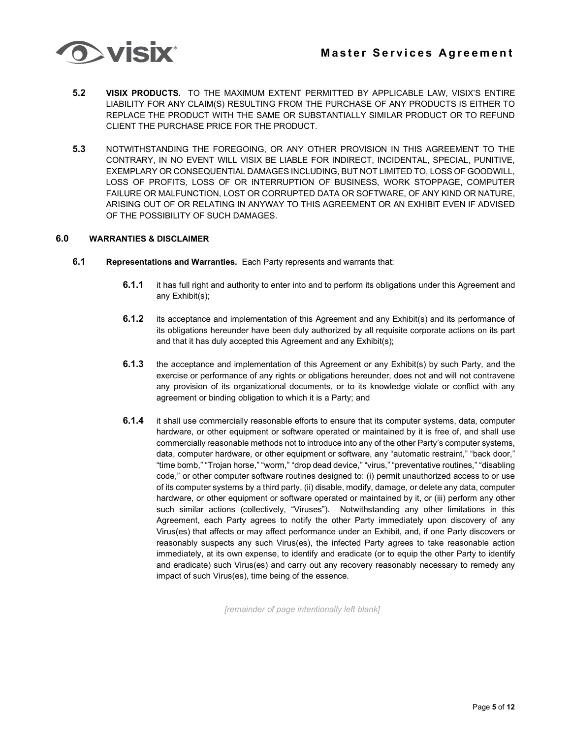

- **5.2 VISIX PRODUCTS.** TO THE MAXIMUM EXTENT PERMITTED BY APPLICABLE LAW, VISIX'S ENTIRE LIABILITY FOR ANY CLAIM(S) RESULTING FROM THE PURCHASE OF ANY PRODUCTS IS EITHER TO REPLACE THE PRODUCT WITH THE SAME OR SUBSTANTIALLY SIMILAR PRODUCT OR TO REFUND CLIENT THE PURCHASE PRICE FOR THE PRODUCT.
- **5.3** NOTWITHSTANDING THE FOREGOING, OR ANY OTHER PROVISION IN THIS AGREEMENT TO THE CONTRARY, IN NO EVENT WILL VISIX BE LIABLE FOR INDIRECT, INCIDENTAL, SPECIAL, PUNITIVE, EXEMPLARY OR CONSEQUENTIAL DAMAGES INCLUDING, BUT NOT LIMITED TO, LOSS OF GOODWILL, LOSS OF PROFITS, LOSS OF OR INTERRUPTION OF BUSINESS, WORK STOPPAGE, COMPUTER FAILURE OR MALFUNCTION, LOST OR CORRUPTED DATA OR SOFTWARE, OF ANY KIND OR NATURE, ARISING OUT OF OR RELATING IN ANYWAY TO THIS AGREEMENT OR AN EXHIBIT EVEN IF ADVISED OF THE POSSIBILITY OF SUCH DAMAGES.

# **6.0 WARRANTIES & DISCLAIMER**

- **6.1 Representations and Warranties.** Each Party represents and warrants that:
	- **6.1.1** it has full right and authority to enter into and to perform its obligations under this Agreement and any Exhibit(s);
	- **6.1.2** its acceptance and implementation of this Agreement and any Exhibit(s) and its performance of its obligations hereunder have been duly authorized by all requisite corporate actions on its part and that it has duly accepted this Agreement and any Exhibit(s);
	- **6.1.3** the acceptance and implementation of this Agreement or any Exhibit(s) by such Party, and the exercise or performance of any rights or obligations hereunder, does not and will not contravene any provision of its organizational documents, or to its knowledge violate or conflict with any agreement or binding obligation to which it is a Party; and
	- **6.1.4** it shall use commercially reasonable efforts to ensure that its computer systems, data, computer hardware, or other equipment or software operated or maintained by it is free of, and shall use commercially reasonable methods not to introduce into any of the other Party's computer systems, data, computer hardware, or other equipment or software, any "automatic restraint," "back door," "time bomb," "Trojan horse," "worm," "drop dead device," "virus," "preventative routines," "disabling code," or other computer software routines designed to: (i) permit unauthorized access to or use of its computer systems by a third party, (ii) disable, modify, damage, or delete any data, computer hardware, or other equipment or software operated or maintained by it, or (iii) perform any other such similar actions (collectively, "Viruses"). Notwithstanding any other limitations in this Agreement, each Party agrees to notify the other Party immediately upon discovery of any Virus(es) that affects or may affect performance under an Exhibit, and, if one Party discovers or reasonably suspects any such Virus(es), the infected Party agrees to take reasonable action immediately, at its own expense, to identify and eradicate (or to equip the other Party to identify and eradicate) such Virus(es) and carry out any recovery reasonably necessary to remedy any impact of such Virus(es), time being of the essence.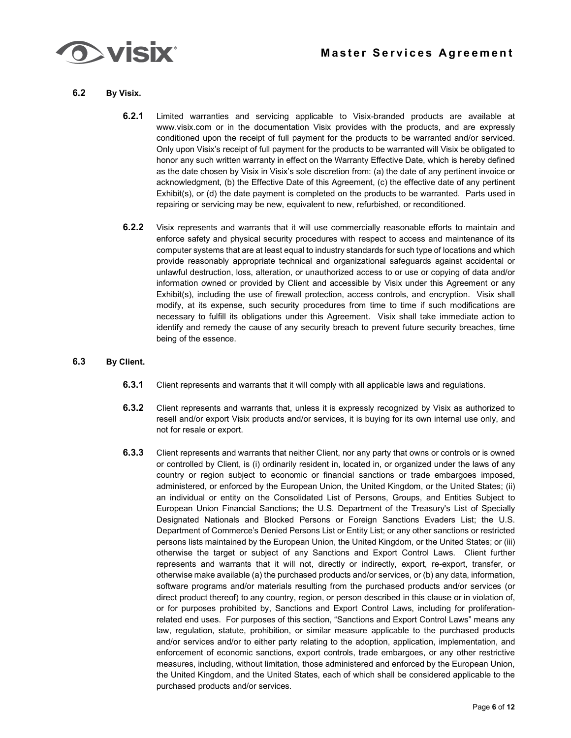

- **6.2 By Visix.**
	- **6.2.1** Limited warranties and servicing applicable to Visix-branded products are available at www.visix.com or in the documentation Visix provides with the products, and are expressly conditioned upon the receipt of full payment for the products to be warranted and/or serviced. Only upon Visix's receipt of full payment for the products to be warranted will Visix be obligated to honor any such written warranty in effect on the Warranty Effective Date, which is hereby defined as the date chosen by Visix in Visix's sole discretion from: (a) the date of any pertinent invoice or acknowledgment, (b) the Effective Date of this Agreement, (c) the effective date of any pertinent Exhibit(s), or (d) the date payment is completed on the products to be warranted. Parts used in repairing or servicing may be new, equivalent to new, refurbished, or reconditioned.
	- **6.2.2** Visix represents and warrants that it will use commercially reasonable efforts to maintain and enforce safety and physical security procedures with respect to access and maintenance of its computer systems that are at least equal to industry standards for such type of locations and which provide reasonably appropriate technical and organizational safeguards against accidental or unlawful destruction, loss, alteration, or unauthorized access to or use or copying of data and/or information owned or provided by Client and accessible by Visix under this Agreement or any Exhibit(s), including the use of firewall protection, access controls, and encryption. Visix shall modify, at its expense, such security procedures from time to time if such modifications are necessary to fulfill its obligations under this Agreement. Visix shall take immediate action to identify and remedy the cause of any security breach to prevent future security breaches, time being of the essence.
- **6.3 By Client.**
	- **6.3.1** Client represents and warrants that it will comply with all applicable laws and regulations.
	- **6.3.2** Client represents and warrants that, unless it is expressly recognized by Visix as authorized to resell and/or export Visix products and/or services, it is buying for its own internal use only, and not for resale or export.
	- **6.3.3** Client represents and warrants that neither Client, nor any party that owns or controls or is owned or controlled by Client, is (i) ordinarily resident in, located in, or organized under the laws of any country or region subject to economic or financial sanctions or trade embargoes imposed, administered, or enforced by the European Union, the United Kingdom, or the United States; (ii) an individual or entity on the Consolidated List of Persons, Groups, and Entities Subject to European Union Financial Sanctions; the U.S. Department of the Treasury's List of Specially Designated Nationals and Blocked Persons or Foreign Sanctions Evaders List; the U.S. Department of Commerce's Denied Persons List or Entity List; or any other sanctions or restricted persons lists maintained by the European Union, the United Kingdom, or the United States; or (iii) otherwise the target or subject of any Sanctions and Export Control Laws. Client further represents and warrants that it will not, directly or indirectly, export, re-export, transfer, or otherwise make available (a) the purchased products and/or services, or (b) any data, information, software programs and/or materials resulting from the purchased products and/or services (or direct product thereof) to any country, region, or person described in this clause or in violation of, or for purposes prohibited by, Sanctions and Export Control Laws, including for proliferationrelated end uses. For purposes of this section, "Sanctions and Export Control Laws" means any law, regulation, statute, prohibition, or similar measure applicable to the purchased products and/or services and/or to either party relating to the adoption, application, implementation, and enforcement of economic sanctions, export controls, trade embargoes, or any other restrictive measures, including, without limitation, those administered and enforced by the European Union, the United Kingdom, and the United States, each of which shall be considered applicable to the purchased products and/or services.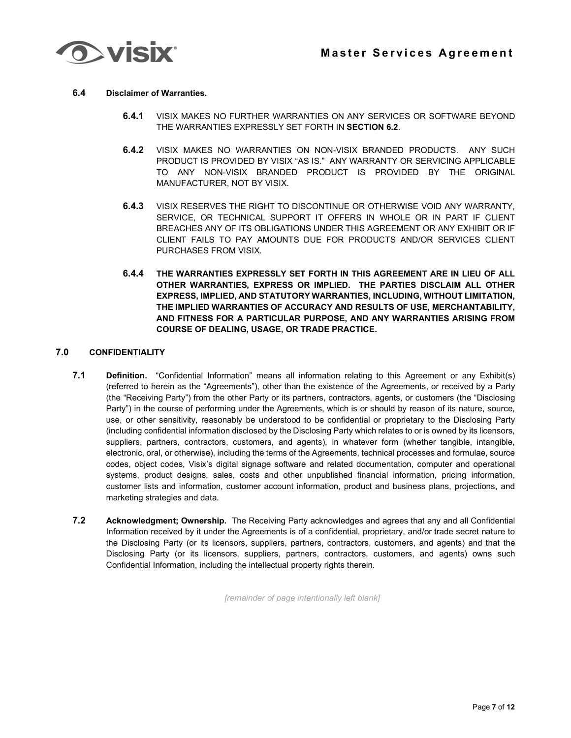

# **6.4 Disclaimer of Warranties.**

- **6.4.1** VISIX MAKES NO FURTHER WARRANTIES ON ANY SERVICES OR SOFTWARE BEYOND THE WARRANTIES EXPRESSLY SET FORTH IN **SECTION 6.2**.
- **6.4.2** VISIX MAKES NO WARRANTIES ON NON-VISIX BRANDED PRODUCTS. ANY SUCH PRODUCT IS PROVIDED BY VISIX "AS IS." ANY WARRANTY OR SERVICING APPLICABLE TO ANY NON-VISIX BRANDED PRODUCT IS PROVIDED BY THE ORIGINAL MANUFACTURER, NOT BY VISIX.
- **6.4.3** VISIX RESERVES THE RIGHT TO DISCONTINUE OR OTHERWISE VOID ANY WARRANTY, SERVICE, OR TECHNICAL SUPPORT IT OFFERS IN WHOLE OR IN PART IF CLIENT BREACHES ANY OF ITS OBLIGATIONS UNDER THIS AGREEMENT OR ANY EXHIBIT OR IF CLIENT FAILS TO PAY AMOUNTS DUE FOR PRODUCTS AND/OR SERVICES CLIENT PURCHASES FROM VISIX.
- **6.4.4 THE WARRANTIES EXPRESSLY SET FORTH IN THIS AGREEMENT ARE IN LIEU OF ALL OTHER WARRANTIES, EXPRESS OR IMPLIED. THE PARTIES DISCLAIM ALL OTHER EXPRESS, IMPLIED, AND STATUTORY WARRANTIES, INCLUDING, WITHOUT LIMITATION, THE IMPLIED WARRANTIES OF ACCURACY AND RESULTS OF USE, MERCHANTABILITY, AND FITNESS FOR A PARTICULAR PURPOSE, AND ANY WARRANTIES ARISING FROM COURSE OF DEALING, USAGE, OR TRADE PRACTICE.**

# **7.0 CONFIDENTIALITY**

- **7.1 Definition.** "Confidential Information" means all information relating to this Agreement or any Exhibit(s) (referred to herein as the "Agreements"), other than the existence of the Agreements, or received by a Party (the "Receiving Party") from the other Party or its partners, contractors, agents, or customers (the "Disclosing Party") in the course of performing under the Agreements, which is or should by reason of its nature, source, use, or other sensitivity, reasonably be understood to be confidential or proprietary to the Disclosing Party (including confidential information disclosed by the Disclosing Party which relates to or is owned by its licensors, suppliers, partners, contractors, customers, and agents), in whatever form (whether tangible, intangible, electronic, oral, or otherwise), including the terms of the Agreements, technical processes and formulae, source codes, object codes, Visix's digital signage software and related documentation, computer and operational systems, product designs, sales, costs and other unpublished financial information, pricing information, customer lists and information, customer account information, product and business plans, projections, and marketing strategies and data.
- **7.2 Acknowledgment; Ownership.** The Receiving Party acknowledges and agrees that any and all Confidential Information received by it under the Agreements is of a confidential, proprietary, and/or trade secret nature to the Disclosing Party (or its licensors, suppliers, partners, contractors, customers, and agents) and that the Disclosing Party (or its licensors, suppliers, partners, contractors, customers, and agents) owns such Confidential Information, including the intellectual property rights therein.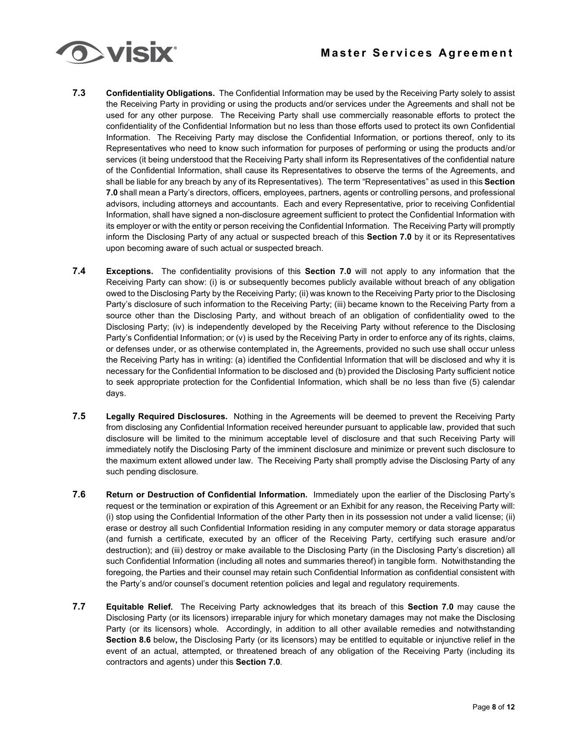

- **7.3 Confidentiality Obligations.** The Confidential Information may be used by the Receiving Party solely to assist the Receiving Party in providing or using the products and/or services under the Agreements and shall not be used for any other purpose. The Receiving Party shall use commercially reasonable efforts to protect the confidentiality of the Confidential Information but no less than those efforts used to protect its own Confidential Information. The Receiving Party may disclose the Confidential Information, or portions thereof, only to its Representatives who need to know such information for purposes of performing or using the products and/or services (it being understood that the Receiving Party shall inform its Representatives of the confidential nature of the Confidential Information, shall cause its Representatives to observe the terms of the Agreements, and shall be liable for any breach by any of its Representatives). The term "Representatives" as used in this **Section 7.0** shall mean a Party's directors, officers, employees, partners, agents or controlling persons, and professional advisors, including attorneys and accountants. Each and every Representative, prior to receiving Confidential Information, shall have signed a non-disclosure agreement sufficient to protect the Confidential Information with its employer or with the entity or person receiving the Confidential Information. The Receiving Party will promptly inform the Disclosing Party of any actual or suspected breach of this **Section 7.0** by it or its Representatives upon becoming aware of such actual or suspected breach.
- **7.4 Exceptions.** The confidentiality provisions of this **Section 7.0** will not apply to any information that the Receiving Party can show: (i) is or subsequently becomes publicly available without breach of any obligation owed to the Disclosing Party by the Receiving Party; (ii) was known to the Receiving Party prior to the Disclosing Party's disclosure of such information to the Receiving Party; (iii) became known to the Receiving Party from a source other than the Disclosing Party, and without breach of an obligation of confidentiality owed to the Disclosing Party; (iv) is independently developed by the Receiving Party without reference to the Disclosing Party's Confidential Information; or (v) is used by the Receiving Party in order to enforce any of its rights, claims, or defenses under, or as otherwise contemplated in, the Agreements, provided no such use shall occur unless the Receiving Party has in writing: (a) identified the Confidential Information that will be disclosed and why it is necessary for the Confidential Information to be disclosed and (b) provided the Disclosing Party sufficient notice to seek appropriate protection for the Confidential Information, which shall be no less than five (5) calendar days.
- **7.5 Legally Required Disclosures.** Nothing in the Agreements will be deemed to prevent the Receiving Party from disclosing any Confidential Information received hereunder pursuant to applicable law, provided that such disclosure will be limited to the minimum acceptable level of disclosure and that such Receiving Party will immediately notify the Disclosing Party of the imminent disclosure and minimize or prevent such disclosure to the maximum extent allowed under law. The Receiving Party shall promptly advise the Disclosing Party of any such pending disclosure.
- **7.6 Return or Destruction of Confidential Information.** Immediately upon the earlier of the Disclosing Party's request or the termination or expiration of this Agreement or an Exhibit for any reason, the Receiving Party will: (i) stop using the Confidential Information of the other Party then in its possession not under a valid license; (ii) erase or destroy all such Confidential Information residing in any computer memory or data storage apparatus (and furnish a certificate, executed by an officer of the Receiving Party, certifying such erasure and/or destruction); and (iii) destroy or make available to the Disclosing Party (in the Disclosing Party's discretion) all such Confidential Information (including all notes and summaries thereof) in tangible form. Notwithstanding the foregoing, the Parties and their counsel may retain such Confidential Information as confidential consistent with the Party's and/or counsel's document retention policies and legal and regulatory requirements.
- **7.7 Equitable Relief.** The Receiving Party acknowledges that its breach of this **Section 7.0** may cause the Disclosing Party (or its licensors) irreparable injury for which monetary damages may not make the Disclosing Party (or its licensors) whole. Accordingly, in addition to all other available remedies and notwithstanding **Section 8.6** below**,** the Disclosing Party (or its licensors) may be entitled to equitable or injunctive relief in the event of an actual, attempted, or threatened breach of any obligation of the Receiving Party (including its contractors and agents) under this **Section 7.0**.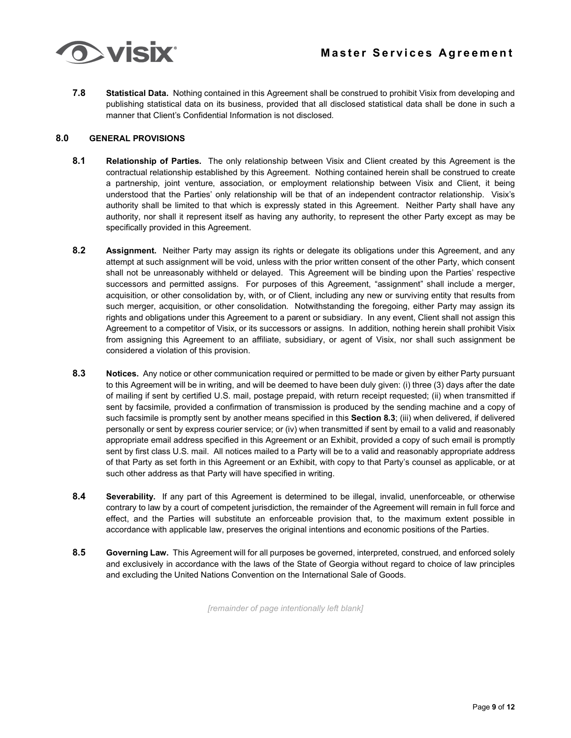**7.8 Statistical Data.** Nothing contained in this Agreement shall be construed to prohibit Visix from developing and publishing statistical data on its business, provided that all disclosed statistical data shall be done in such a manner that Client's Confidential Information is not disclosed.

### **8.0 GENERAL PROVISIONS**

- **8.1 Relationship of Parties.** The only relationship between Visix and Client created by this Agreement is the contractual relationship established by this Agreement. Nothing contained herein shall be construed to create a partnership, joint venture, association, or employment relationship between Visix and Client, it being understood that the Parties' only relationship will be that of an independent contractor relationship. Visix's authority shall be limited to that which is expressly stated in this Agreement. Neither Party shall have any authority, nor shall it represent itself as having any authority, to represent the other Party except as may be specifically provided in this Agreement.
- **8.2 Assignment.** Neither Party may assign its rights or delegate its obligations under this Agreement, and any attempt at such assignment will be void, unless with the prior written consent of the other Party, which consent shall not be unreasonably withheld or delayed. This Agreement will be binding upon the Parties' respective successors and permitted assigns. For purposes of this Agreement, "assignment" shall include a merger, acquisition, or other consolidation by, with, or of Client, including any new or surviving entity that results from such merger, acquisition, or other consolidation. Notwithstanding the foregoing, either Party may assign its rights and obligations under this Agreement to a parent or subsidiary. In any event, Client shall not assign this Agreement to a competitor of Visix, or its successors or assigns. In addition, nothing herein shall prohibit Visix from assigning this Agreement to an affiliate, subsidiary, or agent of Visix, nor shall such assignment be considered a violation of this provision.
- **8.3 Notices.** Any notice or other communication required or permitted to be made or given by either Party pursuant to this Agreement will be in writing, and will be deemed to have been duly given: (i) three (3) days after the date of mailing if sent by certified U.S. mail, postage prepaid, with return receipt requested; (ii) when transmitted if sent by facsimile, provided a confirmation of transmission is produced by the sending machine and a copy of such facsimile is promptly sent by another means specified in this **Section 8.3**; (iii) when delivered, if delivered personally or sent by express courier service; or (iv) when transmitted if sent by email to a valid and reasonably appropriate email address specified in this Agreement or an Exhibit, provided a copy of such email is promptly sent by first class U.S. mail. All notices mailed to a Party will be to a valid and reasonably appropriate address of that Party as set forth in this Agreement or an Exhibit, with copy to that Party's counsel as applicable, or at such other address as that Party will have specified in writing.
- **8.4 Severability.** If any part of this Agreement is determined to be illegal, invalid, unenforceable, or otherwise contrary to law by a court of competent jurisdiction, the remainder of the Agreement will remain in full force and effect, and the Parties will substitute an enforceable provision that, to the maximum extent possible in accordance with applicable law, preserves the original intentions and economic positions of the Parties.
- **8.5 Governing Law.** This Agreement will for all purposes be governed, interpreted, construed, and enforced solely and exclusively in accordance with the laws of the State of Georgia without regard to choice of law principles and excluding the United Nations Convention on the International Sale of Goods.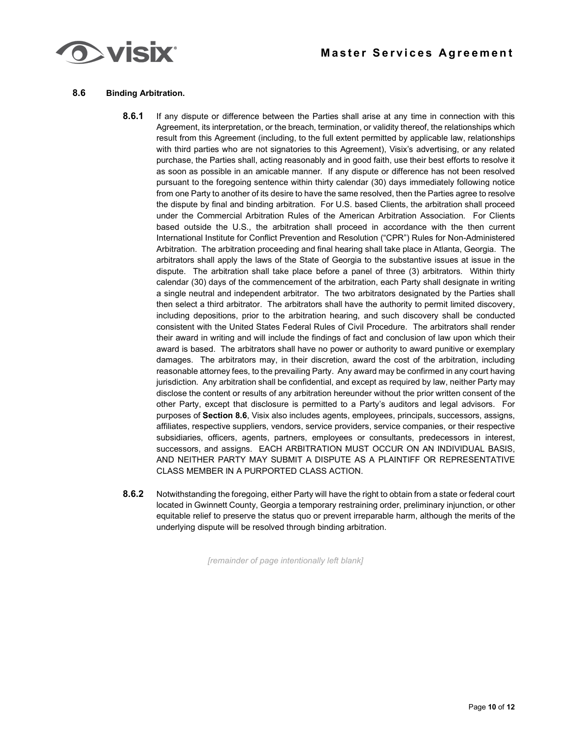

# **Master Services Agreement**

#### **8.6 Binding Arbitration.**

- **8.6.1** If any dispute or difference between the Parties shall arise at any time in connection with this Agreement, its interpretation, or the breach, termination, or validity thereof, the relationships which result from this Agreement (including, to the full extent permitted by applicable law, relationships with third parties who are not signatories to this Agreement), Visix's advertising, or any related purchase, the Parties shall, acting reasonably and in good faith, use their best efforts to resolve it as soon as possible in an amicable manner. If any dispute or difference has not been resolved pursuant to the foregoing sentence within thirty calendar (30) days immediately following notice from one Party to another of its desire to have the same resolved, then the Parties agree to resolve the dispute by final and binding arbitration. For U.S. based Clients, the arbitration shall proceed under the Commercial Arbitration Rules of the American Arbitration Association. For Clients based outside the U.S., the arbitration shall proceed in accordance with the then current International Institute for Conflict Prevention and Resolution ("CPR") Rules for Non-Administered Arbitration. The arbitration proceeding and final hearing shall take place in Atlanta, Georgia. The arbitrators shall apply the laws of the State of Georgia to the substantive issues at issue in the dispute. The arbitration shall take place before a panel of three (3) arbitrators. Within thirty calendar (30) days of the commencement of the arbitration, each Party shall designate in writing a single neutral and independent arbitrator. The two arbitrators designated by the Parties shall then select a third arbitrator. The arbitrators shall have the authority to permit limited discovery, including depositions, prior to the arbitration hearing, and such discovery shall be conducted consistent with the United States Federal Rules of Civil Procedure. The arbitrators shall render their award in writing and will include the findings of fact and conclusion of law upon which their award is based. The arbitrators shall have no power or authority to award punitive or exemplary damages. The arbitrators may, in their discretion, award the cost of the arbitration, including reasonable attorney fees, to the prevailing Party. Any award may be confirmed in any court having jurisdiction. Any arbitration shall be confidential, and except as required by law, neither Party may disclose the content or results of any arbitration hereunder without the prior written consent of the other Party, except that disclosure is permitted to a Party's auditors and legal advisors. For purposes of **Section 8.6**, Visix also includes agents, employees, principals, successors, assigns, affiliates, respective suppliers, vendors, service providers, service companies, or their respective subsidiaries, officers, agents, partners, employees or consultants, predecessors in interest, successors, and assigns. EACH ARBITRATION MUST OCCUR ON AN INDIVIDUAL BASIS, AND NEITHER PARTY MAY SUBMIT A DISPUTE AS A PLAINTIFF OR REPRESENTATIVE CLASS MEMBER IN A PURPORTED CLASS ACTION.
- **8.6.2** Notwithstanding the foregoing, either Party will have the right to obtain from a state or federal court located in Gwinnett County, Georgia a temporary restraining order, preliminary injunction, or other equitable relief to preserve the status quo or prevent irreparable harm, although the merits of the underlying dispute will be resolved through binding arbitration.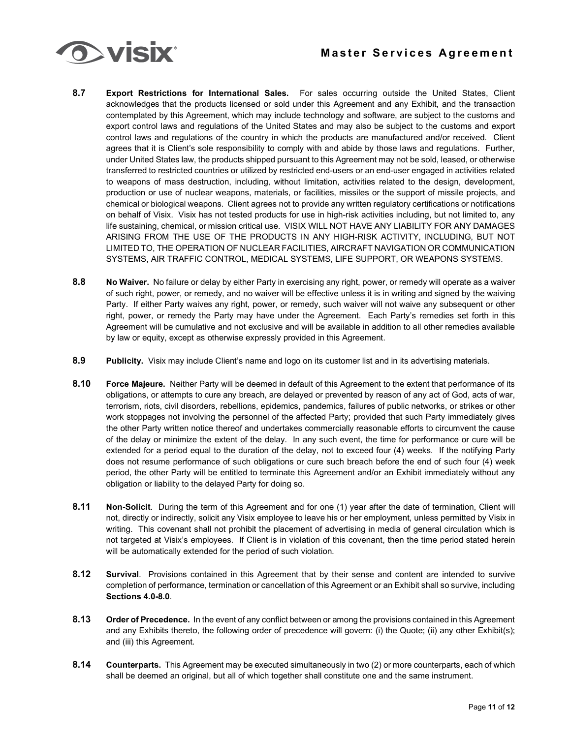

- **8.7 Export Restrictions for International Sales.** For sales occurring outside the United States, Client acknowledges that the products licensed or sold under this Agreement and any Exhibit, and the transaction contemplated by this Agreement, which may include technology and software, are subject to the customs and export control laws and regulations of the United States and may also be subject to the customs and export control laws and regulations of the country in which the products are manufactured and/or received. Client agrees that it is Client's sole responsibility to comply with and abide by those laws and regulations. Further, under United States law, the products shipped pursuant to this Agreement may not be sold, leased, or otherwise transferred to restricted countries or utilized by restricted end-users or an end-user engaged in activities related to weapons of mass destruction, including, without limitation, activities related to the design, development, production or use of nuclear weapons, materials, or facilities, missiles or the support of missile projects, and chemical or biological weapons. Client agrees not to provide any written regulatory certifications or notifications on behalf of Visix. Visix has not tested products for use in high-risk activities including, but not limited to, any life sustaining, chemical, or mission critical use. VISIX WILL NOT HAVE ANY LIABILITY FOR ANY DAMAGES ARISING FROM THE USE OF THE PRODUCTS IN ANY HIGH-RISK ACTIVITY, INCLUDING, BUT NOT LIMITED TO, THE OPERATION OF NUCLEAR FACILITIES, AIRCRAFT NAVIGATION OR COMMUNICATION SYSTEMS, AIR TRAFFIC CONTROL, MEDICAL SYSTEMS, LIFE SUPPORT, OR WEAPONS SYSTEMS.
- **8.8 No Waiver.** No failure or delay by either Party in exercising any right, power, or remedy will operate as a waiver of such right, power, or remedy, and no waiver will be effective unless it is in writing and signed by the waiving Party. If either Party waives any right, power, or remedy, such waiver will not waive any subsequent or other right, power, or remedy the Party may have under the Agreement. Each Party's remedies set forth in this Agreement will be cumulative and not exclusive and will be available in addition to all other remedies available by law or equity, except as otherwise expressly provided in this Agreement.
- **8.9 Publicity.** Visix may include Client's name and logo on its customer list and in its advertising materials.
- **8.10 Force Majeure.** Neither Party will be deemed in default of this Agreement to the extent that performance of its obligations, or attempts to cure any breach, are delayed or prevented by reason of any act of God, acts of war, terrorism, riots, civil disorders, rebellions, epidemics, pandemics, failures of public networks, or strikes or other work stoppages not involving the personnel of the affected Party; provided that such Party immediately gives the other Party written notice thereof and undertakes commercially reasonable efforts to circumvent the cause of the delay or minimize the extent of the delay. In any such event, the time for performance or cure will be extended for a period equal to the duration of the delay, not to exceed four (4) weeks. If the notifying Party does not resume performance of such obligations or cure such breach before the end of such four (4) week period, the other Party will be entitled to terminate this Agreement and/or an Exhibit immediately without any obligation or liability to the delayed Party for doing so.
- **8.11 Non-Solicit**. During the term of this Agreement and for one (1) year after the date of termination, Client will not, directly or indirectly, solicit any Visix employee to leave his or her employment, unless permitted by Visix in writing. This covenant shall not prohibit the placement of advertising in media of general circulation which is not targeted at Visix's employees. If Client is in violation of this covenant, then the time period stated herein will be automatically extended for the period of such violation.
- **8.12 Survival**. Provisions contained in this Agreement that by their sense and content are intended to survive completion of performance, termination or cancellation of this Agreement or an Exhibit shall so survive, including **Sections 4.0-8.0**.
- **8.13 Order of Precedence.** In the event of any conflict between or among the provisions contained in this Agreement and any Exhibits thereto, the following order of precedence will govern: (i) the Quote; (ii) any other Exhibit(s); and (iii) this Agreement.
- **8.14 Counterparts.** This Agreement may be executed simultaneously in two (2) or more counterparts, each of which shall be deemed an original, but all of which together shall constitute one and the same instrument.